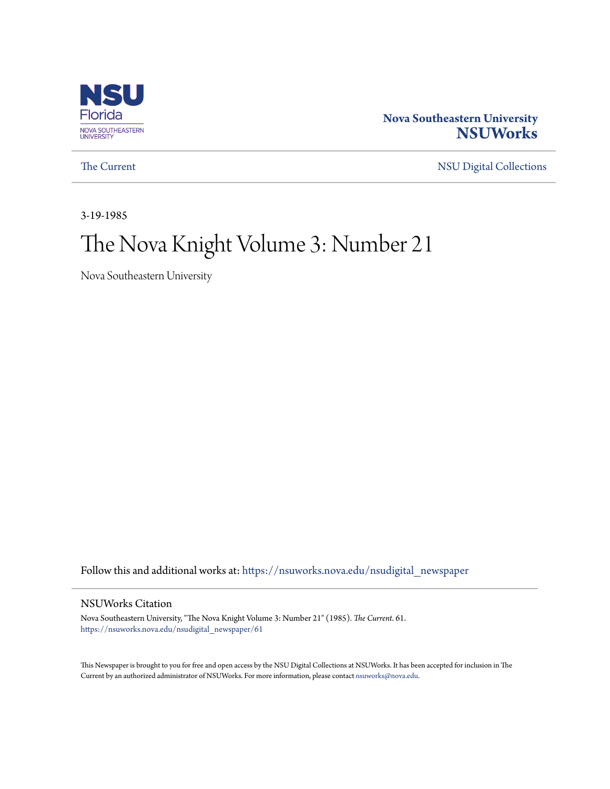

#### **Nova Southeastern University [NSUWorks](https://nsuworks.nova.edu?utm_source=nsuworks.nova.edu%2Fnsudigital_newspaper%2F61&utm_medium=PDF&utm_campaign=PDFCoverPages)**

[The Current](https://nsuworks.nova.edu/nsudigital_newspaper?utm_source=nsuworks.nova.edu%2Fnsudigital_newspaper%2F61&utm_medium=PDF&utm_campaign=PDFCoverPages) [NSU Digital Collections](https://nsuworks.nova.edu/nsudigital?utm_source=nsuworks.nova.edu%2Fnsudigital_newspaper%2F61&utm_medium=PDF&utm_campaign=PDFCoverPages)

3-19-1985

# The Nova Knight Volume 3: Number 21

Nova Southeastern University

Follow this and additional works at: [https://nsuworks.nova.edu/nsudigital\\_newspaper](https://nsuworks.nova.edu/nsudigital_newspaper?utm_source=nsuworks.nova.edu%2Fnsudigital_newspaper%2F61&utm_medium=PDF&utm_campaign=PDFCoverPages)

#### NSUWorks Citation

Nova Southeastern University, "The Nova Knight Volume 3: Number 21" (1985). *The Current*. 61. [https://nsuworks.nova.edu/nsudigital\\_newspaper/61](https://nsuworks.nova.edu/nsudigital_newspaper/61?utm_source=nsuworks.nova.edu%2Fnsudigital_newspaper%2F61&utm_medium=PDF&utm_campaign=PDFCoverPages)

This Newspaper is brought to you for free and open access by the NSU Digital Collections at NSUWorks. It has been accepted for inclusion in The Current by an authorized administrator of NSUWorks. For more information, please contact [nsuworks@nova.edu.](mailto:nsuworks@nova.edu)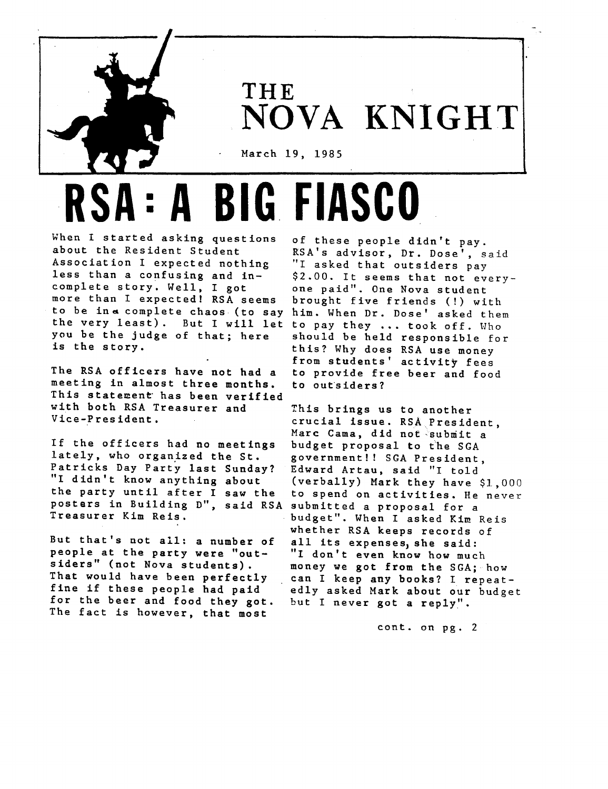

**THE NOVA KNIGHT**

March 19, 1985

**RSA: ABIG FIASCO**

When <sup>I</sup> started asking questions about the Resident Student Association I expected nothing less than <sup>a</sup> confusing and incomplete story. Well, <sup>I</sup> got more than I expected! RSA seems to be in a complete chaos (to say him. When Dr. Dose' asked them the very least). But I will let to pay they ... took off. Who you be the judge of that; here is the story.

The RSA officers have not had <sup>a</sup> meeting in almost three months. This statement has been verified with both RSA Treasurer and Vice-President.

If the officers had no meetings lately, who organized the St. Patricks Day Party last Sunday? "I didn't know anything about the party until after <sup>I</sup> saw the posters in Building D", said RSA Treasurer Kim Reis.

But that's not all: <sup>a</sup> number of people at the party were "outsiders" (not Nova students). That would have been perfectly fine if these people had paid for the beer and food they got. The fact is however, that most

of these people didn't pay. RSA's advisor, Dr. Dose', said "I asked that outsiders pay \$2.00. It seems that not everyone paid". One Nova student brought five friends (!) with should be held responsible for this? Why does RSA use money from students' activity fees to provide free beer and food to outsiders?

This brings us to another crucial issue. RSAPresident, Marc Cama, did not submit a budget proposal to the SGA government!! SGA President, Edward Artau, said "I told (verbally) Mark they have \$1,000 to spend on activities. He never submitted a proposal for a budget". When I asked Kim Reis whether RSA keeps records of all its expenses, she said: "I don't even know how much money we got from the SGA: how can <sup>I</sup> keep any books? <sup>I</sup> repeatedly asked Mark about our budget but I never got a reply".

cont. on pg. 2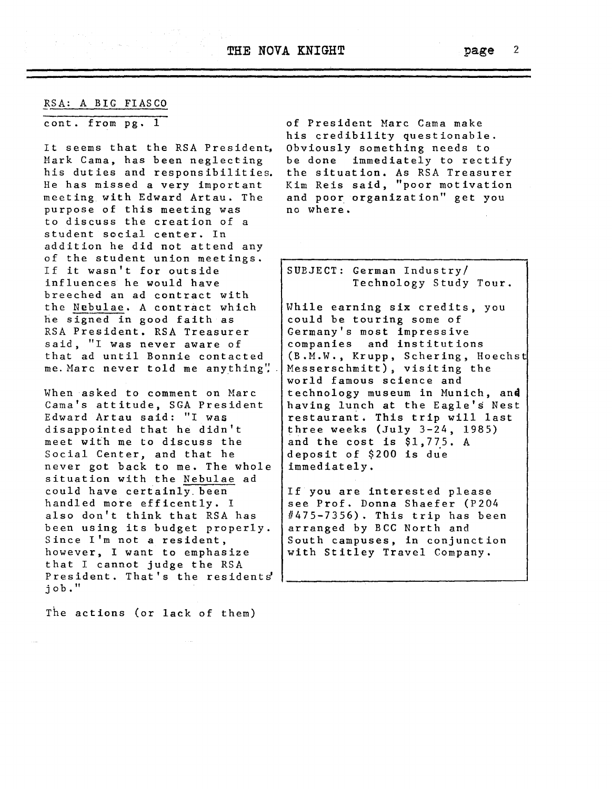#### RSA: A BIG FIASCO

cont. from pg. 1

It seems that the RSA President, Mark Cama, has been neglecting his duties and responsibilities. He has missed a very important meeting with Edward Artau. The purpose of this meeting was to discuss the creation of <sup>a</sup> student social center. In addition he did not attend any of the student union meetings. If it wasn't for outside influences he would have breeched an ad contract with the Nebulae. <sup>A</sup> contract which he signed in good faith as RSA President. RSA Treasurer said, "I was never aware of that ad until Bonnie contacted me. Marc never told me anything':

When asked to comment on Marc Cama's attitude, SGA President Edward Artau said: "I was disappointed that he didn't meet with me to discuss the Social Center, and that he never got back to me. The whole situation with the Nebulae ad could have certainly. been handled more efficently. <sup>I</sup> also don't think that RSA has been using its budget properly. Since I'm not <sup>a</sup> resident, however, I want to emphasize that <sup>I</sup> cannot judge the RSA President. That's the residents' job."

The actions (or lack of them)

of President Marc Cama make his credibility questionable. Obviously something needs to be done immediately to rectify the situation. As RSA Treasurer Kim Reis said, "poor motivation and poor organization" get you no where.

SUBJECT: German Industry/ Technology Study Tour.

While earning six credits, you could be touring some of Germany's most impressive companies and institutions (B.M.W., Krupp, Schering, Hoechst Messerschmitt), visiting the world famous science and technology museum in Munich, an4 having lunch at the Eagle's Nest restaurant. This trip will last three weeks (July 3-24, 1985) and the cost is \$1,775. <sup>A</sup> deposit of  $$200$  is due immediately.

If you are interested please see Prof. Donna Shaefer (P204 #475-7356). This trip has been arranged by BCC North and South campuses, in conjunction with Stitley Travel Company.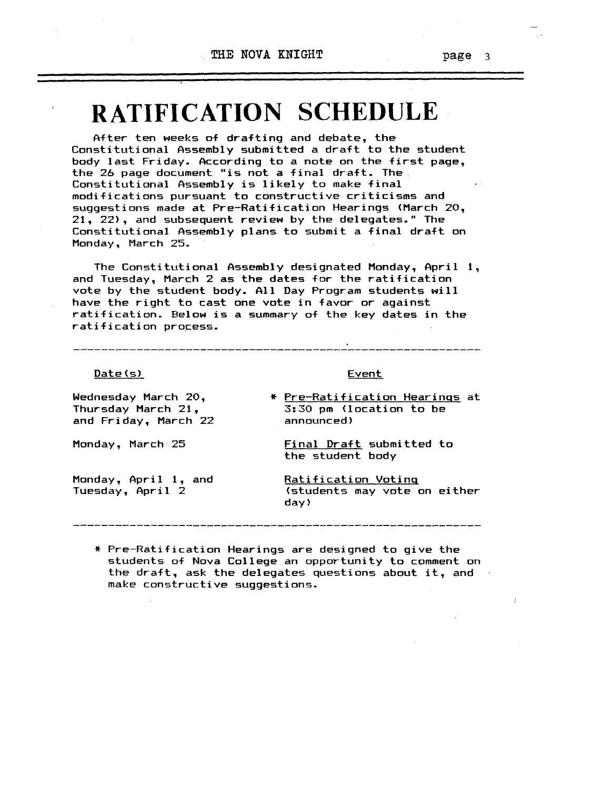# **RATIFICATION SCHEDULE**

After ten weeks of drafting and debate, the Constitutional Assembly submitted <sup>a</sup> draft to the student body last Friday. According to <sup>a</sup> note on the first page, the 26 page document "is not <sup>a</sup> final draft. The Constitutional Assembly is likely to make final modifications pursuant to constructive criticisms and suggestions made at Pre-Ratification Hearings (March 20, 21,22), and subsequent review by the delegates." The Constitutional Assembly plans to submit <sup>a</sup> final draft on Monday, March 25.

The Constitutional Assembly designated Monday, April 1, and Tuesday, March <sup>2</sup> as the dates for the ratification vote by the student body. All Day Program students will have the right to cast one vote in favor or against ratification. Below is <sup>a</sup> summary of the key dates in the ratification process.

#### Date(s)

Event

Wednesday March 20, Thursday March 21, and Friday, March 22

Monday, March 25

Monday, April 1, and Tuesday, April 2

\* Pre-Ratification Hearings at 3:30 pm (location to be announced)

Final Draft submitted to the student body

Ratification Voting (students may vote on either day)

\* Pre-Ratification Hearings are designed to give the students of Nova College an opportunity to comment on the draft, ask the delegates questions about it, and make constructive suggestions.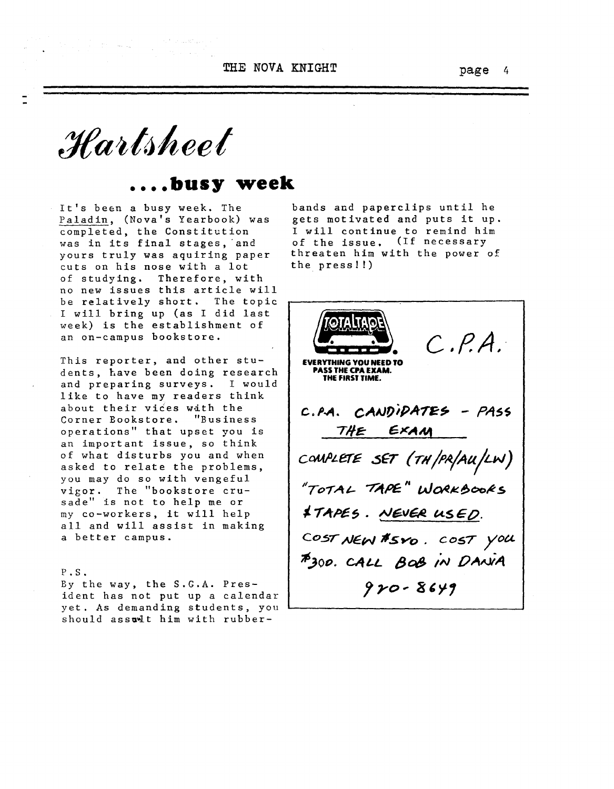THE NOVA KNIGHT **page** 4

*:Jfait{jlteet*

### **busy** week

It's been <sup>a</sup> busy week. The Paladin, (Nova's Yearbook) was completed, the Constitution was in its final stages, and yours truly was aquiring paper cuts on his nose with <sup>a</sup> lot of studying. Therefore, with no new issues this article will be relatively short. The topic <sup>I</sup> will bring up (as <sup>I</sup> did last week) is the establishment of an on-campus bookstore.

This reporter, and other students, have been doing research and preparing surveys. I would like to have my readers think about their vices wdth the Corner Bookstore. "Business operations" that upset you is an important issue, so think of what disturbs you and when asked to relate the problems, you may do so with vengeful vigor. The "bookstore crusade" is not to help me or my co-workers, it will help all and will assist in making <sup>a</sup> better campus.

#### P • S •

By the way. the S.G.A. President has not put up a calendar yet. As demanding students, you should assult him with rubber-

bands and paperclips until he gets motivated and puts it up. <sup>I</sup> will continue to remind him of the issue. (If necessary threaten him with the power of the press!!)

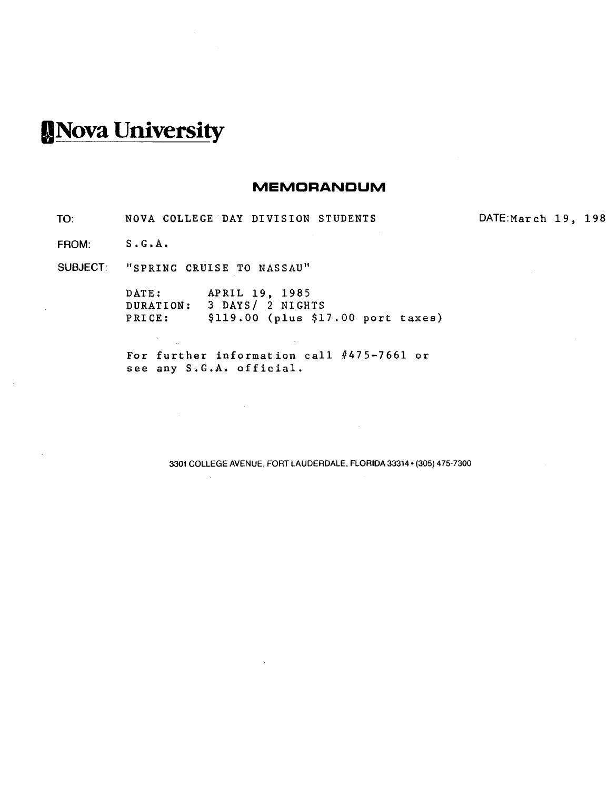# **INova Universi!y**

#### **MEMORANDUM**

TO: NOVA COLLEGE DAY DIVISION STUDENTS DATE:March 19, 198

FROM: S.G.A.

SUBJECT: "SPRING CRUISE TO NASSAU"

 $\sim 200$  km s  $^{-1}$  $\bar{L}$ 

DATE: APRIL 19, 1985 DURATION: 3 DAYS/ 2 NIGHTS PRICE: \$119.00 (plus \$17.00 port taxes)

For further information call #475-7661 or see any S.G.A. official.

 $\sim 10$ 

3301 COLLEGE AVENUE, FORT LAUDERDALE, FLORIDA 33314· (305) 475-7300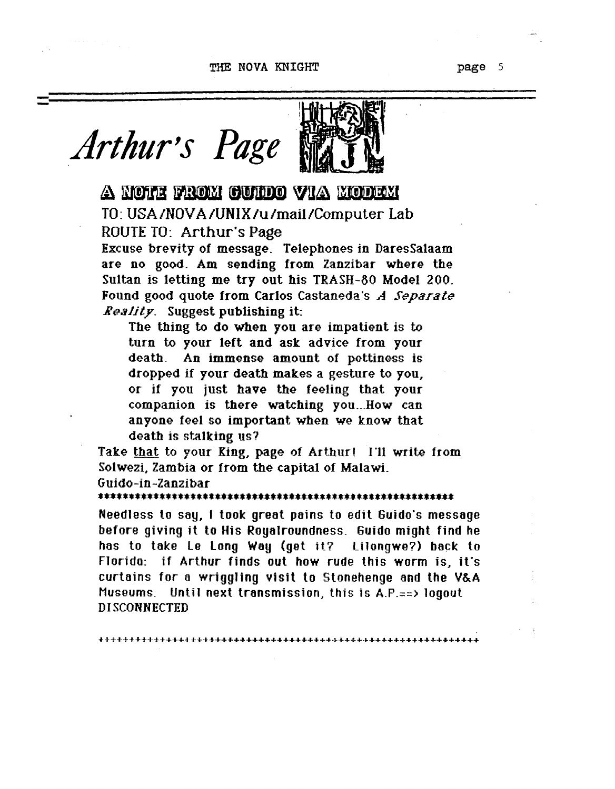#### THE NOVA KNIGHT

page 5



## A NOTE FROM CUIDO VIA MODEM TO: USA/NOVA/UNIX/u/mail/Computer Lab

ROUTE TO: Arthur's Page

Excuse brevity of message. Telephones in DaresSalaam are no good. Am sending from Zanzibar where the Sultan is letting me try out his TRASH-80 Model 200. Found good quote from Carlos Castaneda's A Separate Reality. Suggest publishing it:

The thing to do when you are impatient is to turn to your left and ask advice from your death. An immense amount of pettiness is dropped if your death makes a gesture to you, or if you just have the feeling that your companion is there watching you...How can anyone feel so important when we know that death is stalking us?

Take that to your King, page of Arthur! I'll write from Solwezi, Zambia or from the capital of Malawi. Guido-in-Zanzibar

Needless to say, I took great pains to edit Guido's message before giving it to His Royalroundness. Guido might find he has to take Le Long Way (get it? Lilongwe?) back to Florida: if Arthur finds out how rude this worm is, it's curtains for a wriggling visit to Stonehenge and the V&A Museums. Until next transmission, this is A.P.==> logout **DISCONNECTED**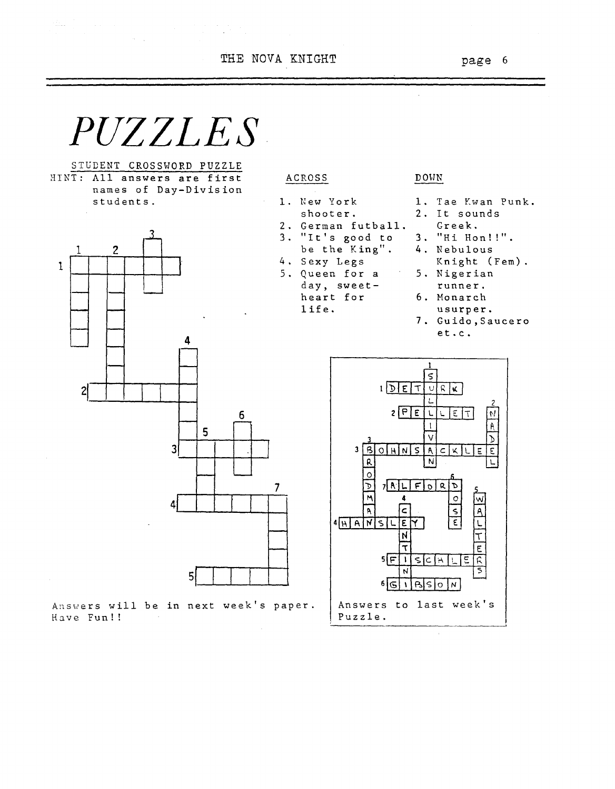THE NOVA KNIGHT **page** 6

 $\mathcal{L}$ 



 $\label{eq:2} \mathcal{L} = \mathcal{L} \left( \mathcal{L} \right) \left( \mathcal{L} \right) \left( \mathcal{L} \right) \left( \mathcal{L} \right) \left( \mathcal{L} \right)$ 

STUDENT CROSSWORD PUZZLE HINT: All answers are first names of Day-Division students.

 $\sim 10^{11}$  km s  $^{-1}$ 

ting ()



Answers will be in next week's paper. Have Fun!!

#### DOHN

- 1. New York
- shooter. 2. German futba11.

ACROSS

- 3. "It's good to
- be the King".
- 4. Sexy Legs 5. Queen for a
	- day, sweetheart for
		- life.
- 1. Tae Kwan Punk.
- 2. It sounds
	- Greek.
- 3. "Hi Hon!!".
- 4. Nebulous
	- Knight (Fem).
- 5. Nigerian
	- runner.
- 6. Monarch usurper.
- 7. Guido,Saucero  $et.c.$

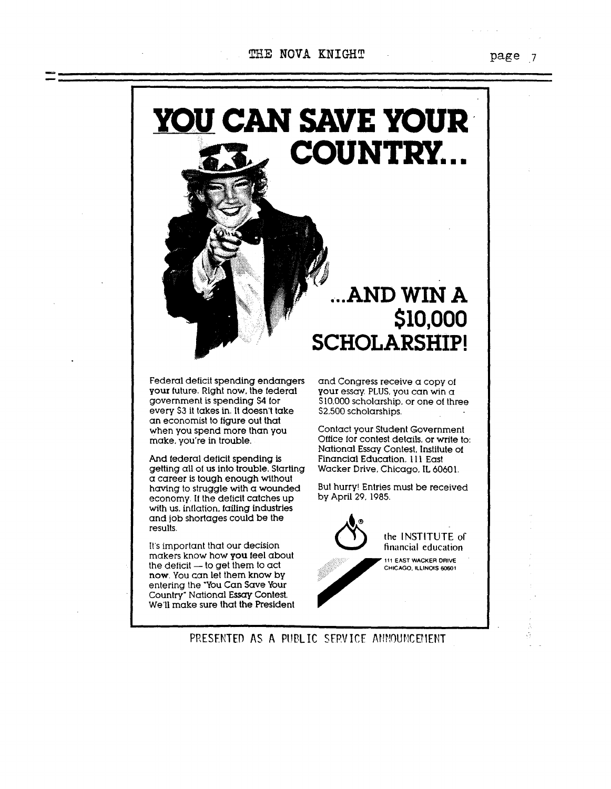#### THE NOVA KNIGHT

**YOU CAN SAVE YOUR'**

**DcJ COUNTRY...**

Federal deficit spending endangers your future. Right now, the federal government is spending \$4 for every \$3 it takes in. It doesn't take an economist to figure out that when you spend more than you make. you're in trouble.

And federal deficit spending is getting all of us into trouble. Starting a career is tough enough without having to struggle with a wounded economy. If the deficit catches up with us, inflation. failing industries and job shortages could be the results.

It's important that our decision makers know how you feel about the deficit  $-$  to get them to act now. You can let them know by entering the 'You Can Save Your Country" National Essay Contest. We'U make sure that the President

and Congress receive a copy of your essay. PLUS. you can win a \$10.000 scholarship. or one of three 52.500 scholarships.

**SCHOLARSHIP!**

**...ANDWIN A**

**\$10,000**

Contact your Student Government Office for contest details. or write to: National Essay Contest. Institute of Financial Education, III East Wacker Drive, Chicago, IL 60601.

But hurry! Entries must be received by April 29. 1985.



page  $7$ 

PRESENTED AS A PUBLIC SERVICE ANNOUNCEMENT